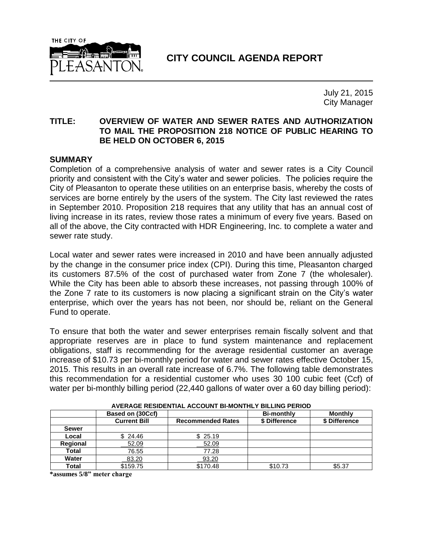

**CITY COUNCIL AGENDA REPORT**

July 21, 2015 City Manager

### **TITLE: OVERVIEW OF WATER AND SEWER RATES AND AUTHORIZATION TO MAIL THE PROPOSITION 218 NOTICE OF PUBLIC HEARING TO BE HELD ON OCTOBER 6, 2015**

### **SUMMARY**

Completion of a comprehensive analysis of water and sewer rates is a City Council priority and consistent with the City's water and sewer policies. The policies require the City of Pleasanton to operate these utilities on an enterprise basis, whereby the costs of services are borne entirely by the users of the system. The City last reviewed the rates in September 2010. Proposition 218 requires that any utility that has an annual cost of living increase in its rates, review those rates a minimum of every five years. Based on all of the above, the City contracted with HDR Engineering, Inc. to complete a water and sewer rate study.

Local water and sewer rates were increased in 2010 and have been annually adjusted by the change in the consumer price index (CPI). During this time, Pleasanton charged its customers 87.5% of the cost of purchased water from Zone 7 (the wholesaler). While the City has been able to absorb these increases, not passing through 100% of the Zone 7 rate to its customers is now placing a significant strain on the City's water enterprise, which over the years has not been, nor should be, reliant on the General Fund to operate.

To ensure that both the water and sewer enterprises remain fiscally solvent and that appropriate reserves are in place to fund system maintenance and replacement obligations, staff is recommending for the average residential customer an average increase of \$10.73 per bi-monthly period for water and sewer rates effective October 15, 2015. This results in an overall rate increase of 6.7%. The following table demonstrates this recommendation for a residential customer who uses 30 100 cubic feet (Ccf) of water per bi-monthly billing period (22,440 gallons of water over a 60 day billing period):

|              | ATLIVIUL ILUIDEN IIAE AUVUUNT DI MUNTIET DILEINUT ENIUD |                          |                   |                |  |  |  |  |
|--------------|---------------------------------------------------------|--------------------------|-------------------|----------------|--|--|--|--|
|              | Based on (30Ccf)                                        |                          | <b>Bi-monthly</b> | <b>Monthly</b> |  |  |  |  |
|              | <b>Current Bill</b>                                     | <b>Recommended Rates</b> | \$ Difference     | \$ Difference  |  |  |  |  |
| <b>Sewer</b> |                                                         |                          |                   |                |  |  |  |  |
| Local        | \$24.46                                                 | \$25.19                  |                   |                |  |  |  |  |
| Regional     | 52.09                                                   | 52.09                    |                   |                |  |  |  |  |
| Total        | 76.55                                                   | 77.28                    |                   |                |  |  |  |  |
| Water        | 83.20                                                   | 93.20                    |                   |                |  |  |  |  |
| Total        | \$159.75                                                | \$170.48                 | \$10.73           | \$5.37         |  |  |  |  |

**AVERAGE RESIDENTIAL ACCOUNT BI-MONTHLY BILLING PERIOD**

**\*assumes 5/8" meter charge**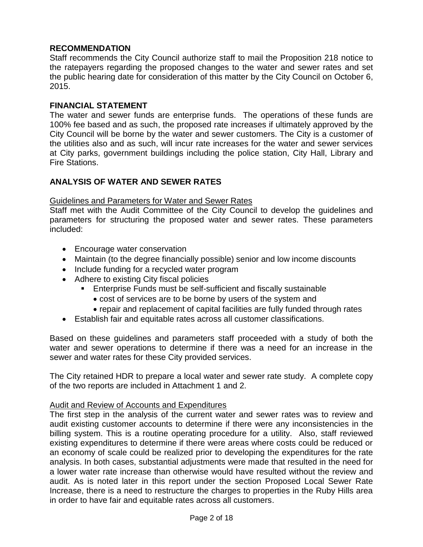### **RECOMMENDATION**

Staff recommends the City Council authorize staff to mail the Proposition 218 notice to the ratepayers regarding the proposed changes to the water and sewer rates and set the public hearing date for consideration of this matter by the City Council on October 6, 2015.

### **FINANCIAL STATEMENT**

The water and sewer funds are enterprise funds. The operations of these funds are 100% fee based and as such, the proposed rate increases if ultimately approved by the City Council will be borne by the water and sewer customers. The City is a customer of the utilities also and as such, will incur rate increases for the water and sewer services at City parks, government buildings including the police station, City Hall, Library and Fire Stations.

### **ANALYSIS OF WATER AND SEWER RATES**

### Guidelines and Parameters for Water and Sewer Rates

Staff met with the Audit Committee of the City Council to develop the guidelines and parameters for structuring the proposed water and sewer rates. These parameters included:

- Encourage water conservation
- Maintain (to the degree financially possible) senior and low income discounts
- Include funding for a recycled water program
- Adhere to existing City fiscal policies
	- **Enterprise Funds must be self-sufficient and fiscally sustainable** 
		- cost of services are to be borne by users of the system and
		- repair and replacement of capital facilities are fully funded through rates
- Establish fair and equitable rates across all customer classifications.

Based on these guidelines and parameters staff proceeded with a study of both the water and sewer operations to determine if there was a need for an increase in the sewer and water rates for these City provided services.

The City retained HDR to prepare a local water and sewer rate study. A complete copy of the two reports are included in Attachment 1 and 2.

### Audit and Review of Accounts and Expenditures

The first step in the analysis of the current water and sewer rates was to review and audit existing customer accounts to determine if there were any inconsistencies in the billing system. This is a routine operating procedure for a utility. Also, staff reviewed existing expenditures to determine if there were areas where costs could be reduced or an economy of scale could be realized prior to developing the expenditures for the rate analysis. In both cases, substantial adjustments were made that resulted in the need for a lower water rate increase than otherwise would have resulted without the review and audit. As is noted later in this report under the section Proposed Local Sewer Rate Increase, there is a need to restructure the charges to properties in the Ruby Hills area in order to have fair and equitable rates across all customers.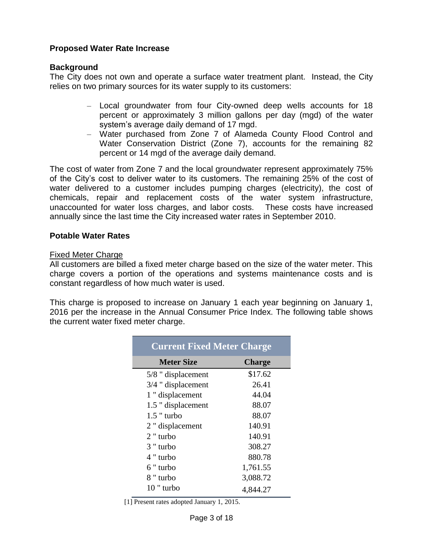### **Proposed Water Rate Increase**

### **Background**

The City does not own and operate a surface water treatment plant. Instead, the City relies on two primary sources for its water supply to its customers:

- Local groundwater from four City-owned deep wells accounts for 18 percent or approximately 3 million gallons per day (mgd) of the water system's average daily demand of 17 mgd.
- Water purchased from Zone 7 of Alameda County Flood Control and Water Conservation District (Zone 7), accounts for the remaining 82 percent or 14 mgd of the average daily demand.

The cost of water from Zone 7 and the local groundwater represent approximately 75% of the City's cost to deliver water to its customers. The remaining 25% of the cost of water delivered to a customer includes pumping charges (electricity), the cost of chemicals, repair and replacement costs of the water system infrastructure, unaccounted for water loss charges, and labor costs. These costs have increased annually since the last time the City increased water rates in September 2010.

### **Potable Water Rates**

### Fixed Meter Charge

All customers are billed a fixed meter charge based on the size of the water meter. This charge covers a portion of the operations and systems maintenance costs and is constant regardless of how much water is used.

This charge is proposed to increase on January 1 each year beginning on January 1, 2016 per the increase in the Annual Consumer Price Index. The following table shows the current water fixed meter charge.

| <b>Current Fixed Meter Charge</b> |               |
|-----------------------------------|---------------|
| <b>Meter Size</b>                 | <b>Charge</b> |
| 5/8 " displacement                | \$17.62       |
| $3/4$ " displacement              | 26.41         |
| 1 " displacement                  | 44.04         |
| 1.5 " displacement                | 88.07         |
| $1.5$ " turbo                     | 88.07         |
| 2 " displacement                  | 140.91        |
| $2$ " turbo                       | 140.91        |
| $3$ " turbo                       | 308.27        |
| 4 " turbo                         | 880.78        |
| 6 " turbo                         | 1,761.55      |
| 8 " turbo                         | 3,088.72      |
| $10$ " turbo                      | 4,844.27      |

[1] Present rates adopted January 1, 2015.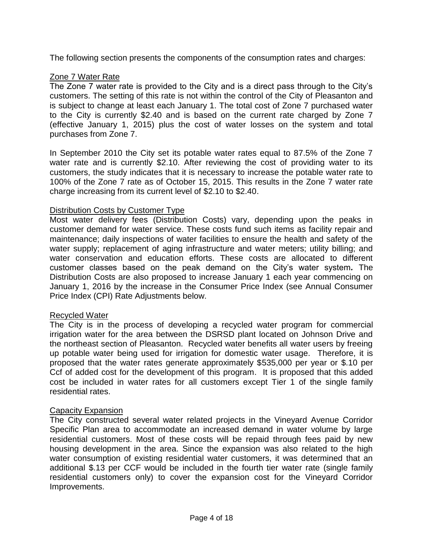The following section presents the components of the consumption rates and charges:

### Zone 7 Water Rate

The Zone 7 water rate is provided to the City and is a direct pass through to the City's customers. The setting of this rate is not within the control of the City of Pleasanton and is subject to change at least each January 1. The total cost of Zone 7 purchased water to the City is currently \$2.40 and is based on the current rate charged by Zone 7 (effective January 1, 2015) plus the cost of water losses on the system and total purchases from Zone 7.

In September 2010 the City set its potable water rates equal to 87.5% of the Zone 7 water rate and is currently \$2.10. After reviewing the cost of providing water to its customers, the study indicates that it is necessary to increase the potable water rate to 100% of the Zone 7 rate as of October 15, 2015. This results in the Zone 7 water rate charge increasing from its current level of \$2.10 to \$2.40.

### Distribution Costs by Customer Type

Most water delivery fees (Distribution Costs) vary, depending upon the peaks in customer demand for water service. These costs fund such items as facility repair and maintenance; daily inspections of water facilities to ensure the health and safety of the water supply; replacement of aging infrastructure and water meters; utility billing; and water conservation and education efforts. These costs are allocated to different customer classes based on the peak demand on the City's water system*.* The Distribution Costs are also proposed to increase January 1 each year commencing on January 1, 2016 by the increase in the Consumer Price Index (see Annual Consumer Price Index (CPI) Rate Adjustments below.

### Recycled Water

The City is in the process of developing a recycled water program for commercial irrigation water for the area between the DSRSD plant located on Johnson Drive and the northeast section of Pleasanton. Recycled water benefits all water users by freeing up potable water being used for irrigation for domestic water usage. Therefore, it is proposed that the water rates generate approximately \$535,000 per year or \$.10 per Ccf of added cost for the development of this program. It is proposed that this added cost be included in water rates for all customers except Tier 1 of the single family residential rates.

### Capacity Expansion

The City constructed several water related projects in the Vineyard Avenue Corridor Specific Plan area to accommodate an increased demand in water volume by large residential customers. Most of these costs will be repaid through fees paid by new housing development in the area. Since the expansion was also related to the high water consumption of existing residential water customers, it was determined that an additional \$.13 per CCF would be included in the fourth tier water rate (single family residential customers only) to cover the expansion cost for the Vineyard Corridor Improvements.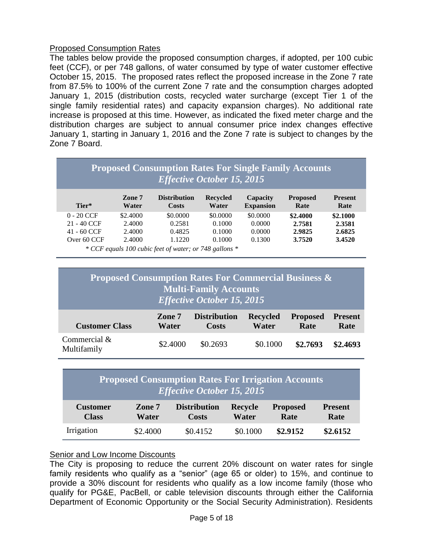# Proposed Consumption Rates

The tables below provide the proposed consumption charges, if adopted, per 100 cubic feet (CCF), or per 748 gallons, of water consumed by type of water customer effective October 15, 2015. The proposed rates reflect the proposed increase in the Zone 7 rate from 87.5% to 100% of the current Zone 7 rate and the consumption charges adopted January 1, 2015 (distribution costs, recycled water surcharge (except Tier 1 of the single family residential rates) and capacity expansion charges). No additional rate increase is proposed at this time. However, as indicated the fixed meter charge and the distribution charges are subject to annual consumer price index changes effective January 1, starting in January 1, 2016 and the Zone 7 rate is subject to changes by the Zone 7 Board.

| <b>Proposed Consumption Rates For Single Family Accounts</b><br><b>Effective October 15, 2015</b> |                 |                              |                          |                              |                         |                        |
|---------------------------------------------------------------------------------------------------|-----------------|------------------------------|--------------------------|------------------------------|-------------------------|------------------------|
| Tier*                                                                                             | Zone 7<br>Water | <b>Distribution</b><br>Costs | <b>Recycled</b><br>Water | Capacity<br><b>Expansion</b> | <b>Proposed</b><br>Rate | <b>Present</b><br>Rate |
| $0 - 20$ CCF                                                                                      | \$2,4000        | \$0.0000                     | \$0.0000                 | \$0.0000                     | \$2,4000                | \$2.1000               |
| $21 - 40$ CCF                                                                                     | 2.4000          | 0.2581                       | 0.1000                   | 0.0000                       | 2.7581                  | 2.3581                 |
| $41 - 60$ CCF                                                                                     | 2.4000          | 0.4825                       | 0.1000                   | 0.0000                       | 2.9825                  | 2.6825                 |
| Over 60 CCF                                                                                       | 2.4000          | 1.1220                       | 0.1000                   | 0.1300                       | 3.7520                  | 3.4520                 |

*\* CCF equals 100 cubic feet of water; or 748 gallons \**

| <b>Proposed Consumption Rates For Commercial Business &amp;</b><br><b>Multi-Family Accounts</b><br><b>Effective October 15, 2015</b> |                 |                              |                                 |                         |                        |  |
|--------------------------------------------------------------------------------------------------------------------------------------|-----------------|------------------------------|---------------------------------|-------------------------|------------------------|--|
| <b>Customer Class</b>                                                                                                                | Zone 7<br>Water | <b>Distribution</b><br>Costs | <b>Recycled</b><br><b>Water</b> | <b>Proposed</b><br>Rate | <b>Present</b><br>Rate |  |
| Commercial &<br>Multifamily                                                                                                          | \$2,4000        | \$0.2693                     | \$0.1000                        | \$2.7693                | \$2.4693               |  |

| <b>Proposed Consumption Rates For Irrigation Accounts</b><br><b>Effective October 15, 2015</b> |                 |                                     |                                |                         |                        |
|------------------------------------------------------------------------------------------------|-----------------|-------------------------------------|--------------------------------|-------------------------|------------------------|
| <b>Customer</b><br><b>Class</b>                                                                | Zone 7<br>Water | <b>Distribution</b><br><b>Costs</b> | <b>Recycle</b><br><b>Water</b> | <b>Proposed</b><br>Rate | <b>Present</b><br>Rate |
| Irrigation                                                                                     | \$2,4000        | \$0.4152                            | \$0.1000                       | \$2.9152                | \$2.6152               |

### **Senior and Low Income Discounts**

The City is proposing to reduce the current 20% discount on water rates for single family residents who qualify as a "senior" (age 65 or older) to 15%, and continue to provide a 30% discount for residents who qualify as a low income family (those who qualify for PG&E, PacBell, or cable television discounts through either the California Department of Economic Opportunity or the Social Security Administration). Residents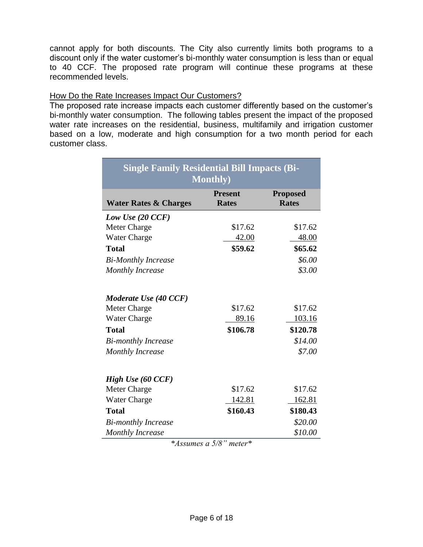cannot apply for both discounts. The City also currently limits both programs to a discount only if the water customer's bi-monthly water consumption is less than or equal to 40 CCF. The proposed rate program will continue these programs at these recommended levels.

### How Do the Rate Increases Impact Our Customers?

The proposed rate increase impacts each customer differently based on the customer's bi-monthly water consumption. The following tables present the impact of the proposed water rate increases on the residential, business, multifamily and irrigation customer based on a low, moderate and high consumption for a two month period for each customer class.

| <b>Single Family Residential Bill Impacts (Bi-</b><br><b>Monthly</b> ) |                                |                                 |  |  |
|------------------------------------------------------------------------|--------------------------------|---------------------------------|--|--|
| <b>Water Rates &amp; Charges</b>                                       | <b>Present</b><br><b>Rates</b> | <b>Proposed</b><br><b>Rates</b> |  |  |
| Low Use (20 CCF)                                                       |                                |                                 |  |  |
| <b>Meter Charge</b>                                                    | \$17.62                        | \$17.62                         |  |  |
| <b>Water Charge</b>                                                    | 42.00                          | 48.00                           |  |  |
| <b>Total</b>                                                           | \$59.62                        | \$65.62                         |  |  |
| <b>Bi-Monthly Increase</b>                                             |                                | \$6.00                          |  |  |
| <b>Monthly Increase</b>                                                |                                | \$3.00                          |  |  |
| Moderate Use (40 CCF)                                                  |                                |                                 |  |  |
| <b>Meter Charge</b>                                                    | \$17.62                        | \$17.62                         |  |  |
| <b>Water Charge</b>                                                    | 89.16                          | 103.16                          |  |  |
| <b>Total</b>                                                           | \$106.78                       | \$120.78                        |  |  |
| <b>Bi-monthly Increase</b>                                             |                                | \$14.00                         |  |  |
| <b>Monthly Increase</b>                                                |                                | \$7.00                          |  |  |
| <b>High Use (60 CCF)</b>                                               |                                |                                 |  |  |
| Meter Charge                                                           | \$17.62                        | \$17.62                         |  |  |
| <b>Water Charge</b>                                                    | 142.81                         | <u>162.81</u>                   |  |  |
| <b>Total</b>                                                           | \$160.43                       | \$180.43                        |  |  |
| <b>Bi-monthly Increase</b>                                             |                                | \$20.00                         |  |  |
| <b>Monthly Increase</b>                                                |                                | \$10.00                         |  |  |

*\*Assumes a 5/8" meter\**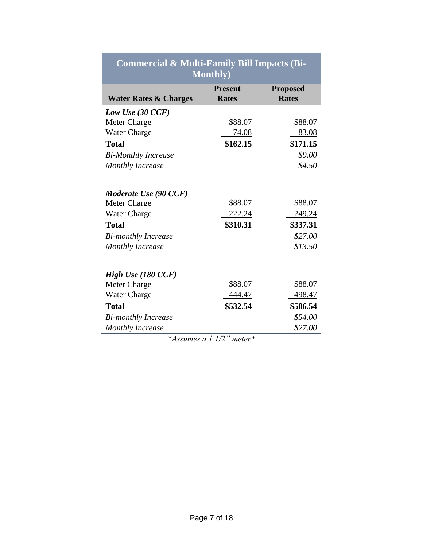| Commercial & Multi-Family Bill Impacts (Bi- |                  |                 |  |  |  |
|---------------------------------------------|------------------|-----------------|--|--|--|
|                                             | <b>Monthly</b> ) |                 |  |  |  |
|                                             | <b>Present</b>   | <b>Proposed</b> |  |  |  |
| <b>Water Rates &amp; Charges</b>            | <b>Rates</b>     | <b>Rates</b>    |  |  |  |
| Low Use $(30 \text{ CCF})$                  |                  |                 |  |  |  |
| Meter Charge                                | \$88.07          | \$88.07         |  |  |  |
| <b>Water Charge</b>                         | 74.08            | 83.08           |  |  |  |
| <b>Total</b>                                | \$162.15         | \$171.15        |  |  |  |
| <b>Bi-Monthly Increase</b>                  |                  | \$9.00          |  |  |  |
| <b>Monthly Increase</b>                     |                  | \$4.50          |  |  |  |
|                                             |                  |                 |  |  |  |
|                                             |                  |                 |  |  |  |
| Moderate Use (90 CCF)                       | \$88.07          |                 |  |  |  |
| Meter Charge                                |                  | \$88.07         |  |  |  |
| <b>Water Charge</b>                         | 222.24           | 249.24          |  |  |  |
| <b>Total</b>                                | \$310.31         | \$337.31        |  |  |  |
| <b>Bi-monthly Increase</b>                  |                  | \$27.00         |  |  |  |
| <b>Monthly Increase</b>                     |                  | \$13.50         |  |  |  |
|                                             |                  |                 |  |  |  |
| High Use (180 CCF)                          |                  |                 |  |  |  |
| Meter Charge                                | \$88.07          | \$88.07         |  |  |  |
|                                             |                  |                 |  |  |  |
| <b>Water Charge</b>                         | 444.47           | 498.47          |  |  |  |
| <b>Total</b>                                | \$532.54         | \$586.54        |  |  |  |
| <b>Bi-monthly Increase</b>                  |                  | \$54.00         |  |  |  |
| <b>Monthly Increase</b>                     |                  | \$27.00         |  |  |  |

# **Commercial & Multi-Family Bill Impacts (Bi-**

*\*Assumes a 1 1/2" meter\**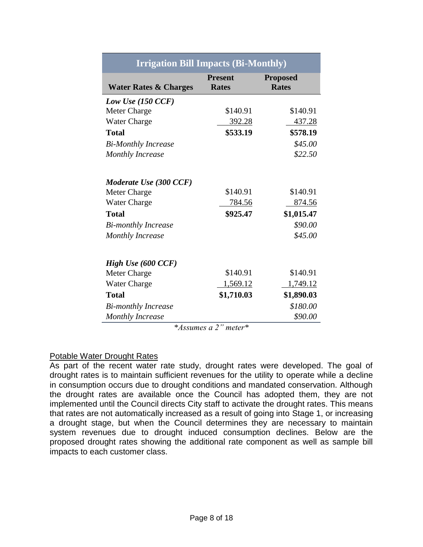| <b>Irrigation Bill Impacts (Bi-Monthly)</b> |                                |                                 |  |  |  |
|---------------------------------------------|--------------------------------|---------------------------------|--|--|--|
| <b>Water Rates &amp; Charges</b>            | <b>Present</b><br><b>Rates</b> | <b>Proposed</b><br><b>Rates</b> |  |  |  |
| Low Use $(150 \text{ CCF})$                 |                                |                                 |  |  |  |
| Meter Charge                                | \$140.91                       | \$140.91                        |  |  |  |
| <b>Water Charge</b>                         | 392.28                         | <u>437.28</u>                   |  |  |  |
| <b>Total</b>                                | \$533.19                       | \$578.19                        |  |  |  |
| <b>Bi-Monthly Increase</b>                  |                                | \$45.00                         |  |  |  |
| <b>Monthly Increase</b>                     |                                | \$22.50                         |  |  |  |
| Moderate Use (300 CCF)                      |                                |                                 |  |  |  |
| <b>Meter Charge</b>                         | \$140.91                       | \$140.91                        |  |  |  |
| <b>Water Charge</b>                         | 784.56                         | 874.56                          |  |  |  |
| <b>Total</b>                                | \$925.47                       | \$1,015.47                      |  |  |  |
| <b>Bi-monthly Increase</b>                  |                                | \$90.00                         |  |  |  |
| <b>Monthly Increase</b>                     |                                | \$45.00                         |  |  |  |
| High Use (600 CCF)                          |                                |                                 |  |  |  |
| Meter Charge                                | \$140.91                       | \$140.91                        |  |  |  |
| <b>Water Charge</b>                         | 1,569.12                       | 1,749.12                        |  |  |  |
| <b>Total</b>                                | \$1,710.03                     | \$1,890.03                      |  |  |  |
| <b>Bi-monthly Increase</b>                  |                                | \$180.00                        |  |  |  |
| <b>Monthly Increase</b>                     |                                | \$90.00                         |  |  |  |

*\*Assumes a 2" meter\**

### Potable Water Drought Rates

As part of the recent water rate study, drought rates were developed. The goal of drought rates is to maintain sufficient revenues for the utility to operate while a decline in consumption occurs due to drought conditions and mandated conservation. Although the drought rates are available once the Council has adopted them, they are not implemented until the Council directs City staff to activate the drought rates. This means that rates are not automatically increased as a result of going into Stage 1, or increasing a drought stage, but when the Council determines they are necessary to maintain system revenues due to drought induced consumption declines. Below are the proposed drought rates showing the additional rate component as well as sample bill impacts to each customer class.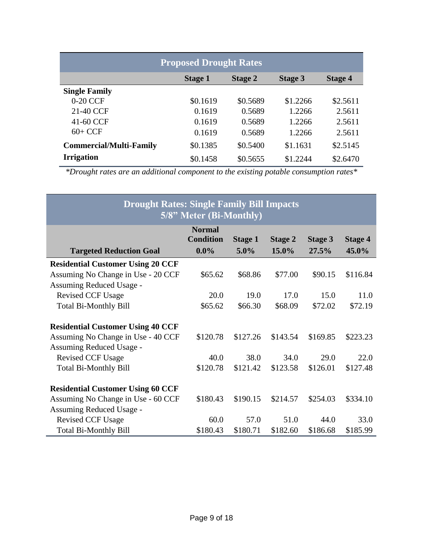| <b>Proposed Drought Rates</b>  |                |                |                |                |  |  |  |
|--------------------------------|----------------|----------------|----------------|----------------|--|--|--|
|                                | <b>Stage 1</b> | <b>Stage 2</b> | <b>Stage 3</b> | <b>Stage 4</b> |  |  |  |
| <b>Single Family</b>           |                |                |                |                |  |  |  |
| 0-20 CCF                       | \$0.1619       | \$0.5689       | \$1.2266       | \$2.5611       |  |  |  |
| 21-40 CCF                      | 0.1619         | 0.5689         | 1.2266         | 2.5611         |  |  |  |
| 41-60 CCF                      | 0.1619         | 0.5689         | 1.2266         | 2.5611         |  |  |  |
| $60+CCF$                       | 0.1619         | 0.5689         | 1.2266         | 2.5611         |  |  |  |
| <b>Commercial/Multi-Family</b> | \$0.1385       | \$0.5400       | \$1.1631       | \$2.5145       |  |  |  |
| <b>Irrigation</b>              | \$0.1458       | \$0.5655       | \$1.2244       | \$2.6470       |  |  |  |

*\*Drought rates are an additional component to the existing potable consumption rates\**

| <b>Drought Rates: Single Family Bill Impacts</b><br>5/8" Meter (Bi-Monthly)                                |                                              |                           |                         |                         |                         |  |  |
|------------------------------------------------------------------------------------------------------------|----------------------------------------------|---------------------------|-------------------------|-------------------------|-------------------------|--|--|
| <b>Targeted Reduction Goal</b>                                                                             | <b>Normal</b><br><b>Condition</b><br>$0.0\%$ | <b>Stage 1</b><br>$5.0\%$ | <b>Stage 2</b><br>15.0% | <b>Stage 3</b><br>27.5% | <b>Stage 4</b><br>45.0% |  |  |
| <b>Residential Customer Using 20 CCF</b>                                                                   |                                              |                           |                         |                         |                         |  |  |
| Assuming No Change in Use - 20 CCF                                                                         | \$65.62                                      | \$68.86                   | \$77.00                 | \$90.15                 | \$116.84                |  |  |
| Assuming Reduced Usage -                                                                                   |                                              |                           |                         |                         |                         |  |  |
| <b>Revised CCF Usage</b>                                                                                   | 20.0                                         | 19.0                      | 17.0                    | 15.0                    | 11.0                    |  |  |
| <b>Total Bi-Monthly Bill</b>                                                                               | \$65.62                                      | \$66.30                   | \$68.09                 | \$72.02                 | \$72.19                 |  |  |
| <b>Residential Customer Using 40 CCF</b><br>Assuming No Change in Use - 40 CCF<br>Assuming Reduced Usage - | \$120.78                                     | \$127.26                  | \$143.54                | \$169.85                | \$223.23                |  |  |
| <b>Revised CCF Usage</b>                                                                                   | 40.0                                         | 38.0                      | 34.0                    | 29.0                    | 22.0                    |  |  |
| <b>Total Bi-Monthly Bill</b>                                                                               | \$120.78                                     | \$121.42                  | \$123.58                | \$126.01                | \$127.48                |  |  |
| <b>Residential Customer Using 60 CCF</b><br>Assuming No Change in Use - 60 CCF<br>Assuming Reduced Usage - | \$180.43                                     | \$190.15                  | \$214.57                | \$254.03                | \$334.10                |  |  |
| <b>Revised CCF Usage</b>                                                                                   | 60.0                                         | 57.0                      | 51.0                    | 44.0                    | 33.0                    |  |  |
| <b>Total Bi-Monthly Bill</b>                                                                               | \$180.43                                     | \$180.71                  | \$182.60                | \$186.68                | \$185.99                |  |  |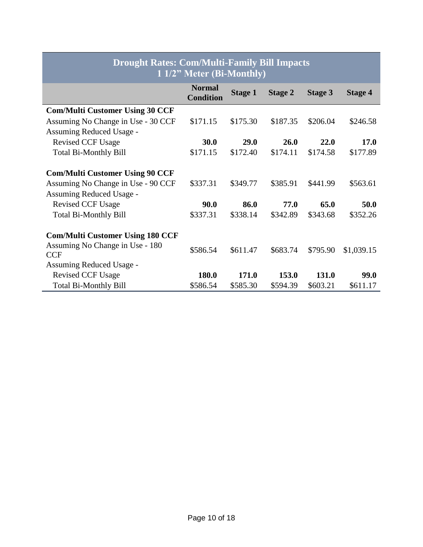| <b>Drought Rates: Com/Multi-Family Bill Impacts</b> |                                   |                |                |                |                |  |  |  |
|-----------------------------------------------------|-----------------------------------|----------------|----------------|----------------|----------------|--|--|--|
|                                                     | 1 1/2" Meter (Bi-Monthly)         |                |                |                |                |  |  |  |
|                                                     | <b>Normal</b><br><b>Condition</b> | <b>Stage 1</b> | <b>Stage 2</b> | <b>Stage 3</b> | <b>Stage 4</b> |  |  |  |
| <b>Com/Multi Customer Using 30 CCF</b>              |                                   |                |                |                |                |  |  |  |
| Assuming No Change in Use - 30 CCF                  | \$171.15                          | \$175.30       | \$187.35       | \$206.04       | \$246.58       |  |  |  |
| <b>Assuming Reduced Usage -</b>                     |                                   |                |                |                |                |  |  |  |
| <b>Revised CCF Usage</b>                            | 30.0                              | 29.0           | 26.0           | 22.0           | 17.0           |  |  |  |
| <b>Total Bi-Monthly Bill</b>                        | \$171.15                          | \$172.40       | \$174.11       | \$174.58       | \$177.89       |  |  |  |
| <b>Com/Multi Customer Using 90 CCF</b>              |                                   |                |                |                |                |  |  |  |
| Assuming No Change in Use - 90 CCF                  | \$337.31                          | \$349.77       | \$385.91       | \$441.99       | \$563.61       |  |  |  |
| <b>Assuming Reduced Usage -</b>                     |                                   |                |                |                |                |  |  |  |
| <b>Revised CCF Usage</b>                            | 90.0                              | 86.0           | 77.0           | 65.0           | 50.0           |  |  |  |
| <b>Total Bi-Monthly Bill</b>                        | \$337.31                          | \$338.14       | \$342.89       | \$343.68       | \$352.26       |  |  |  |
| <b>Com/Multi Customer Using 180 CCF</b>             |                                   |                |                |                |                |  |  |  |
| Assuming No Change in Use - 180<br><b>CCF</b>       | \$586.54                          | \$611.47       | \$683.74       | \$795.90       | \$1,039.15     |  |  |  |
| <b>Assuming Reduced Usage -</b>                     |                                   |                |                |                |                |  |  |  |
| <b>Revised CCF Usage</b>                            | 180.0                             | 171.0          | 153.0          | 131.0          | <b>99.0</b>    |  |  |  |
| <b>Total Bi-Monthly Bill</b>                        | \$586.54                          | \$585.30       | \$594.39       | \$603.21       | \$611.17       |  |  |  |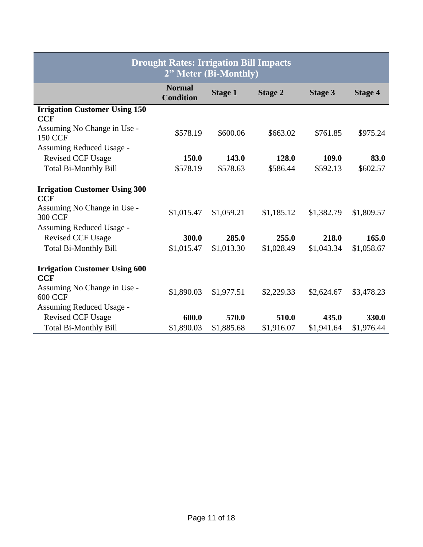| <b>Drought Rates: Irrigation Bill Impacts</b><br>2" Meter (Bi-Monthly) |                                   |                |                |                |                |  |  |
|------------------------------------------------------------------------|-----------------------------------|----------------|----------------|----------------|----------------|--|--|
|                                                                        | <b>Normal</b><br><b>Condition</b> | <b>Stage 1</b> | <b>Stage 2</b> | <b>Stage 3</b> | <b>Stage 4</b> |  |  |
| <b>Irrigation Customer Using 150</b>                                   |                                   |                |                |                |                |  |  |
| <b>CCF</b>                                                             |                                   |                |                |                |                |  |  |
| Assuming No Change in Use -<br><b>150 CCF</b>                          | \$578.19                          | \$600.06       | \$663.02       | \$761.85       | \$975.24       |  |  |
| Assuming Reduced Usage -                                               |                                   |                |                |                |                |  |  |
| <b>Revised CCF Usage</b>                                               | 150.0                             | 143.0          | 128.0          | 109.0          | 83.0           |  |  |
| <b>Total Bi-Monthly Bill</b>                                           | \$578.19                          | \$578.63       | \$586.44       | \$592.13       | \$602.57       |  |  |
| <b>Irrigation Customer Using 300</b><br><b>CCF</b>                     |                                   |                |                |                |                |  |  |
| Assuming No Change in Use -<br><b>300 CCF</b>                          | \$1,015.47                        | \$1,059.21     | \$1,185.12     | \$1,382.79     | \$1,809.57     |  |  |
| Assuming Reduced Usage -                                               |                                   |                |                |                |                |  |  |
| <b>Revised CCF Usage</b>                                               | 300.0                             | 285.0          | 255.0          | 218.0          | 165.0          |  |  |
| <b>Total Bi-Monthly Bill</b>                                           | \$1,015.47                        | \$1,013.30     | \$1,028.49     | \$1,043.34     | \$1,058.67     |  |  |
| <b>Irrigation Customer Using 600</b><br><b>CCF</b>                     |                                   |                |                |                |                |  |  |
| Assuming No Change in Use -<br><b>600 CCF</b>                          | \$1,890.03                        | \$1,977.51     | \$2,229.33     | \$2,624.67     | \$3,478.23     |  |  |
| Assuming Reduced Usage -                                               |                                   |                |                |                |                |  |  |
| <b>Revised CCF Usage</b>                                               | 600.0                             | 570.0          | 510.0          | 435.0          | 330.0          |  |  |
| <b>Total Bi-Monthly Bill</b>                                           | \$1,890.03                        | \$1,885.68     | \$1,916.07     | \$1,941.64     | \$1,976.44     |  |  |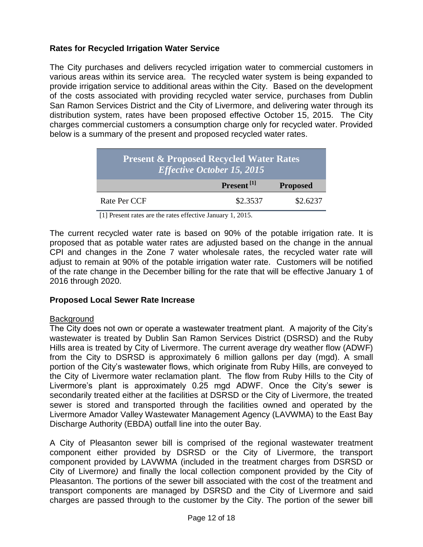# **Rates for Recycled Irrigation Water Service**

The City purchases and delivers recycled irrigation water to commercial customers in various areas within its service area. The recycled water system is being expanded to provide irrigation service to additional areas within the City. Based on the development of the costs associated with providing recycled water service, purchases from Dublin San Ramon Services District and the City of Livermore, and delivering water through its distribution system, rates have been proposed effective October 15, 2015. The City charges commercial customers a consumption charge only for recycled water. Provided below is a summary of the present and proposed recycled water rates.

| <b>Present &amp; Proposed Recycled Water Rates</b><br><i>Effective October 15, 2015</i> |                        |                 |
|-----------------------------------------------------------------------------------------|------------------------|-----------------|
|                                                                                         | Present <sup>[1]</sup> | <b>Proposed</b> |
| Rate Per CCF                                                                            | \$2.3537               | \$2.6237        |

[1] Present rates are the rates effective January 1, 2015.

The current recycled water rate is based on 90% of the potable irrigation rate. It is proposed that as potable water rates are adjusted based on the change in the annual CPI and changes in the Zone 7 water wholesale rates, the recycled water rate will adjust to remain at 90% of the potable irrigation water rate. Customers will be notified of the rate change in the December billing for the rate that will be effective January 1 of 2016 through 2020.

### **Proposed Local Sewer Rate Increase**

### Background

The City does not own or operate a wastewater treatment plant. A majority of the City's wastewater is treated by Dublin San Ramon Services District (DSRSD) and the Ruby Hills area is treated by City of Livermore. The current average dry weather flow (ADWF) from the City to DSRSD is approximately 6 million gallons per day (mgd). A small portion of the City's wastewater flows, which originate from Ruby Hills, are conveyed to the City of Livermore water reclamation plant. The flow from Ruby Hills to the City of Livermore's plant is approximately 0.25 mgd ADWF. Once the City's sewer is secondarily treated either at the facilities at DSRSD or the City of Livermore, the treated sewer is stored and transported through the facilities owned and operated by the Livermore Amador Valley Wastewater Management Agency (LAVWMA) to the East Bay Discharge Authority (EBDA) outfall line into the outer Bay.

A City of Pleasanton sewer bill is comprised of the regional wastewater treatment component either provided by DSRSD or the City of Livermore, the transport component provided by LAVWMA (included in the treatment charges from DSRSD or City of Livermore*)* and finally the local collection component provided by the City of Pleasanton. The portions of the sewer bill associated with the cost of the treatment and transport components are managed by DSRSD and the City of Livermore and said charges are passed through to the customer by the City. The portion of the sewer bill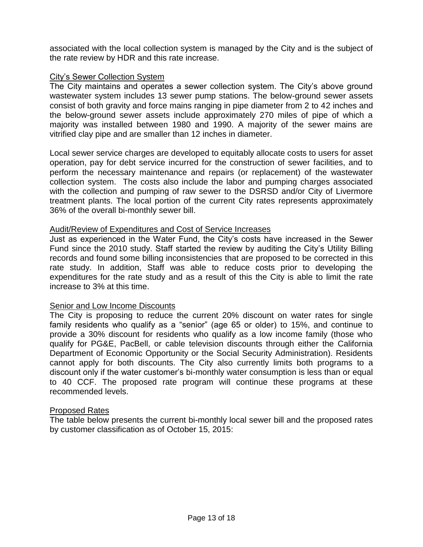associated with the local collection system is managed by the City and is the subject of the rate review by HDR and this rate increase.

### City's Sewer Collection System

The City maintains and operates a sewer collection system. The City's above ground wastewater system includes 13 sewer pump stations. The below-ground sewer assets consist of both gravity and force mains ranging in pipe diameter from 2 to 42 inches and the below-ground sewer assets include approximately 270 miles of pipe of which a majority was installed between 1980 and 1990. A majority of the sewer mains are vitrified clay pipe and are smaller than 12 inches in diameter.

Local sewer service charges are developed to equitably allocate costs to users for asset operation, pay for debt service incurred for the construction of sewer facilities, and to perform the necessary maintenance and repairs (or replacement) of the wastewater collection system. The costs also include the labor and pumping charges associated with the collection and pumping of raw sewer to the DSRSD and/or City of Livermore treatment plants. The local portion of the current City rates represents approximately 36% of the overall bi-monthly sewer bill.

### Audit/Review of Expenditures and Cost of Service Increases

Just as experienced in the Water Fund, the City's costs have increased in the Sewer Fund since the 2010 study. Staff started the review by auditing the City's Utility Billing records and found some billing inconsistencies that are proposed to be corrected in this rate study. In addition, Staff was able to reduce costs prior to developing the expenditures for the rate study and as a result of this the City is able to limit the rate increase to 3% at this time.

### **Senior and Low Income Discounts**

The City is proposing to reduce the current 20% discount on water rates for single family residents who qualify as a "senior" (age 65 or older) to 15%, and continue to provide a 30% discount for residents who qualify as a low income family (those who qualify for PG&E, PacBell, or cable television discounts through either the California Department of Economic Opportunity or the Social Security Administration). Residents cannot apply for both discounts. The City also currently limits both programs to a discount only if the water customer's bi-monthly water consumption is less than or equal to 40 CCF. The proposed rate program will continue these programs at these recommended levels.

### Proposed Rates

The table below presents the current bi-monthly local sewer bill and the proposed rates by customer classification as of October 15, 2015: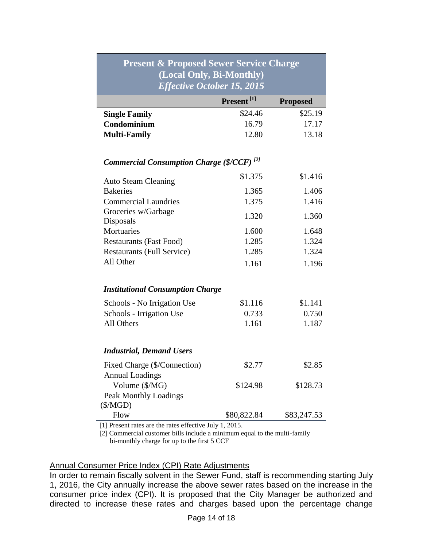| <b>Present &amp; Proposed Sewer Service Charge</b><br>(Local Only, Bi-Monthly)<br><b>Effective October 15, 2015</b> |             |             |                      |                        |                 |
|---------------------------------------------------------------------------------------------------------------------|-------------|-------------|----------------------|------------------------|-----------------|
|                                                                                                                     |             |             |                      | Present <sup>[1]</sup> | <b>Proposed</b> |
|                                                                                                                     |             |             | <b>Single Family</b> | \$24.46                | \$25.19         |
| Condominium                                                                                                         | 16.79       | 17.17       |                      |                        |                 |
| <b>Multi-Family</b>                                                                                                 | 12.80       | 13.18       |                      |                        |                 |
| Commercial Consumption Charge (\$/CCF) <sup>[2]</sup>                                                               |             |             |                      |                        |                 |
|                                                                                                                     |             |             |                      |                        |                 |
| <b>Auto Steam Cleaning</b>                                                                                          | \$1.375     | \$1.416     |                      |                        |                 |
| <b>Bakeries</b>                                                                                                     | 1.365       | 1.406       |                      |                        |                 |
| <b>Commercial Laundries</b>                                                                                         | 1.375       | 1.416       |                      |                        |                 |
| Groceries w/Garbage<br>Disposals                                                                                    | 1.320       | 1.360       |                      |                        |                 |
| Mortuaries                                                                                                          | 1.600       | 1.648       |                      |                        |                 |
| <b>Restaurants (Fast Food)</b>                                                                                      | 1.285       | 1.324       |                      |                        |                 |
| <b>Restaurants (Full Service)</b>                                                                                   | 1.285       | 1.324       |                      |                        |                 |
| All Other                                                                                                           | 1.161       | 1.196       |                      |                        |                 |
|                                                                                                                     |             |             |                      |                        |                 |
| <b>Institutional Consumption Charge</b>                                                                             |             |             |                      |                        |                 |
| Schools - No Irrigation Use                                                                                         | \$1.116     | \$1.141     |                      |                        |                 |
| Schools - Irrigation Use                                                                                            | 0.733       | 0.750       |                      |                        |                 |
| All Others                                                                                                          | 1.161       | 1.187       |                      |                        |                 |
| <b>Industrial, Demand Users</b>                                                                                     |             |             |                      |                        |                 |
| Fixed Charge (\$/Connection)                                                                                        | \$2.77      | \$2.85      |                      |                        |                 |
| <b>Annual Loadings</b>                                                                                              |             |             |                      |                        |                 |
| Volume (\$/MG)                                                                                                      | \$124.98    | \$128.73    |                      |                        |                 |
| <b>Peak Monthly Loadings</b>                                                                                        |             |             |                      |                        |                 |
| $(\$/MGD)$                                                                                                          |             |             |                      |                        |                 |
| Flow                                                                                                                | \$80,822.84 | \$83,247.53 |                      |                        |                 |

[1] Present rates are the rates effective July 1, 2015.

[2] Commercial customer bills include a minimum equal to the multi-family bi-monthly charge for up to the first 5 CCF

### Annual Consumer Price Index (CPI) Rate Adjustments

In order to remain fiscally solvent in the Sewer Fund, staff is recommending starting July 1, 2016, the City annually increase the above sewer rates based on the increase in the consumer price index (CPI). It is proposed that the City Manager be authorized and directed to increase these rates and charges based upon the percentage change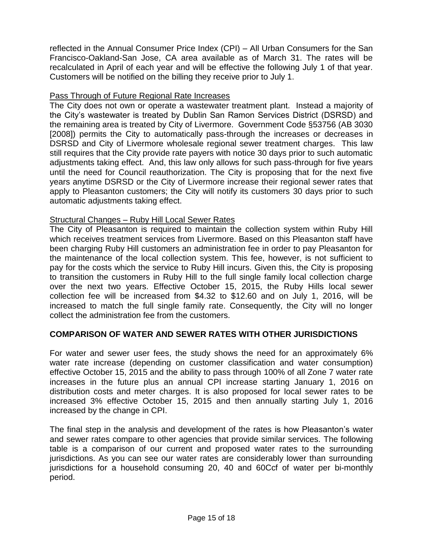reflected in the Annual Consumer Price Index (CPI) – All Urban Consumers for the San Francisco-Oakland-San Jose, CA area available as of March 31. The rates will be recalculated in April of each year and will be effective the following July 1 of that year. Customers will be notified on the billing they receive prior to July 1.

### Pass Through of Future Regional Rate Increases

The City does not own or operate a wastewater treatment plant. Instead a majority of the City's wastewater is treated by Dublin San Ramon Services District (DSRSD) and the remaining area is treated by City of Livermore. Government Code §53756 (AB 3030 [2008]) permits the City to automatically pass-through the increases or decreases in DSRSD and City of Livermore wholesale regional sewer treatment charges. This law still requires that the City provide rate payers with notice 30 days prior to such automatic adjustments taking effect. And, this law only allows for such pass-through for five years until the need for Council reauthorization. The City is proposing that for the next five years anytime DSRSD or the City of Livermore increase their regional sewer rates that apply to Pleasanton customers; the City will notify its customers 30 days prior to such automatic adjustments taking effect.

### Structural Changes – Ruby Hill Local Sewer Rates

The City of Pleasanton is required to maintain the collection system within Ruby Hill which receives treatment services from Livermore. Based on this Pleasanton staff have been charging Ruby Hill customers an administration fee in order to pay Pleasanton for the maintenance of the local collection system. This fee, however, is not sufficient to pay for the costs which the service to Ruby Hill incurs. Given this, the City is proposing to transition the customers in Ruby Hill to the full single family local collection charge over the next two years. Effective October 15, 2015, the Ruby Hills local sewer collection fee will be increased from \$4.32 to \$12.60 and on July 1, 2016, will be increased to match the full single family rate. Consequently, the City will no longer collect the administration fee from the customers.

# **COMPARISON OF WATER AND SEWER RATES WITH OTHER JURISDICTIONS**

For water and sewer user fees, the study shows the need for an approximately 6% water rate increase (depending on customer classification and water consumption) effective October 15, 2015 and the ability to pass through 100% of all Zone 7 water rate increases in the future plus an annual CPI increase starting January 1, 2016 on distribution costs and meter charges. It is also proposed for local sewer rates to be increased 3% effective October 15, 2015 and then annually starting July 1, 2016 increased by the change in CPI.

The final step in the analysis and development of the rates is how Pleasanton's water and sewer rates compare to other agencies that provide similar services. The following table is a comparison of our current and proposed water rates to the surrounding jurisdictions. As you can see our water rates are considerably lower than surrounding jurisdictions for a household consuming 20, 40 and 60Ccf of water per bi-monthly period.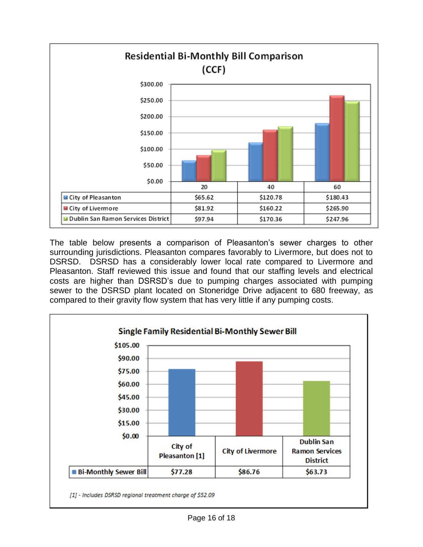

The table below presents a comparison of Pleasanton's sewer charges to other surrounding jurisdictions. Pleasanton compares favorably to Livermore, but does not to DSRSD. DSRSD has a considerably lower local rate compared to Livermore and Pleasanton. Staff reviewed this issue and found that our staffing levels and electrical costs are higher than DSRSD's due to pumping charges associated with pumping sewer to the DSRSD plant located on Stoneridge Drive adjacent to 680 freeway, as compared to their gravity flow system that has very little if any pumping costs.

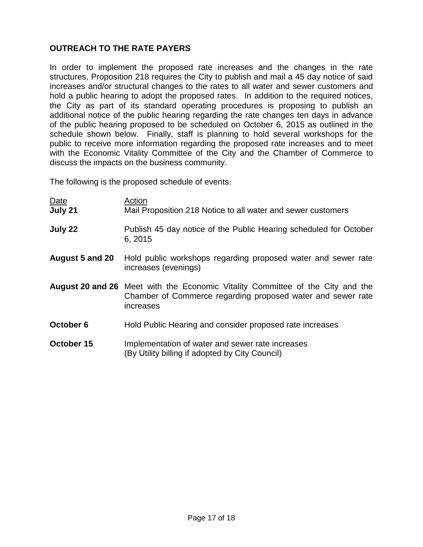# **OUTREACH TO THE RATE PAYERS**

In order to implement the proposed rate increases and the changes in the rate structures, Proposition 218 requires the City to publish and mail a 45 day notice of said increases and/or structural changes to the rates to all water and sewer customers and hold a public hearing to adopt the proposed rates. In addition to the required notices, the City as part of its standard operating procedures is proposing to publish an additional notice of the public hearing regarding the rate changes ten days in advance of the public hearing proposed to be scheduled on October 6, 2015 as outlined in the schedule shown below. Finally, staff is planning to hold several workshops for the public to receive more information regarding the proposed rate increases and to meet with the Economic Vitality Committee of the City and the Chamber of Commerce to discuss the impacts on the business community.

The following is the proposed schedule of events:

| Date<br>July 21 | Action<br>Mail Proposition 218 Notice to all water and sewer customers                                                                                            |
|-----------------|-------------------------------------------------------------------------------------------------------------------------------------------------------------------|
| July 22         | Publish 45 day notice of the Public Hearing scheduled for October<br>6, 2015                                                                                      |
| August 5 and 20 | Hold public workshops regarding proposed water and sewer rate<br>increases (evenings)                                                                             |
|                 | <b>August 20 and 26</b> Meet with the Economic Vitality Committee of the City and the<br>Chamber of Commerce regarding proposed water and sewer rate<br>increases |
| October 6       | Hold Public Hearing and consider proposed rate increases                                                                                                          |
| October 15      | Implementation of water and sewer rate increases<br>(By Utility billing if adopted by City Council)                                                               |